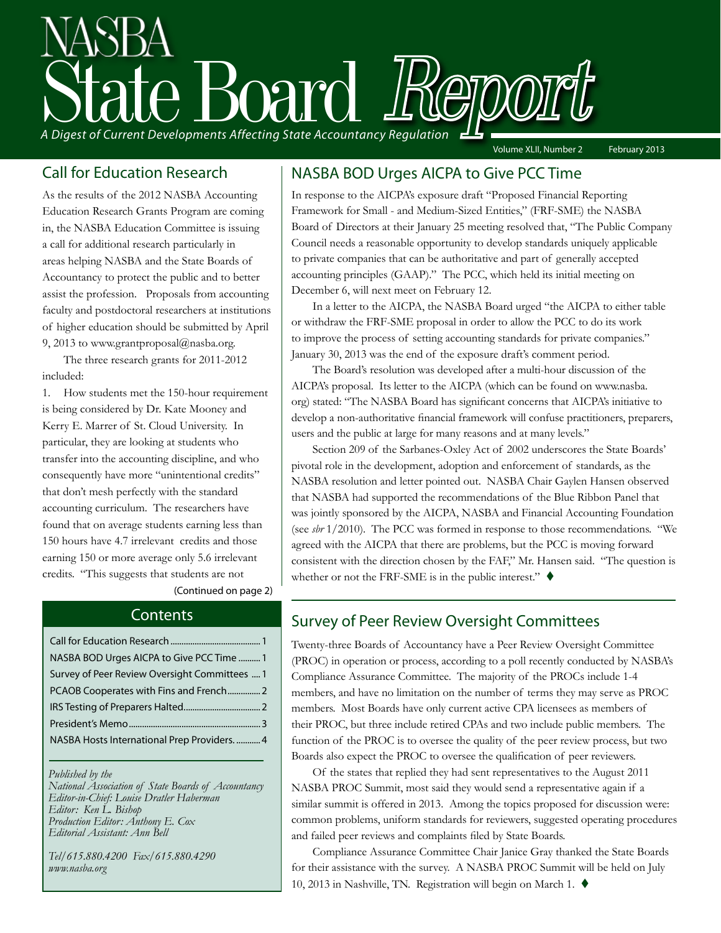# State Board Report *A Digest of Current Developments Affecting State Accountancy Regulation* Volume XLII, Number 2 February 2013

As the results of the 2012 NASBA Accounting Education Research Grants Program are coming in, the NASBA Education Committee is issuing a call for additional research particularly in areas helping NASBA and the State Boards of Accountancy to protect the public and to better assist the profession. Proposals from accounting faculty and postdoctoral researchers at institutions of higher education should be submitted by April 9, 2013 to www.grantproposal@nasba.org.

The three research grants for 2011-2012 included:

1. How students met the 150-hour requirement is being considered by Dr. Kate Mooney and Kerry E. Marrer of St. Cloud University. In particular, they are looking at students who transfer into the accounting discipline, and who consequently have more "unintentional credits" that don't mesh perfectly with the standard accounting curriculum. The researchers have found that on average students earning less than 150 hours have 4.7 irrelevant credits and those earning 150 or more average only 5.6 irrelevant credits. "This suggests that students are not

(Continued on page 2)

#### **Contents**

| NASBA BOD Urges AICPA to Give PCC Time  1     |
|-----------------------------------------------|
| Survey of Peer Review Oversight Committees  1 |
| PCAOB Cooperates with Fins and French 2       |
|                                               |
|                                               |
| NASBA Hosts International Prep Providers4     |
|                                               |

*Published by the* 

*National Association of State Boards of Accountancy Editor-in-Chief: Louise Dratler Haberman Editor: Ken L. Bishop Production Editor: Anthony E. Cox Editorial Assistant: Ann Bell* 

*Tel/615.880.4200 Fax/615.880.4290 www.nasba.org*

#### Call for Education Research | NASBA BOD Urges AICPA to Give PCC Time

In response to the AICPA's exposure draft "Proposed Financial Reporting Framework for Small - and Medium-Sized Entities," (FRF-SME) the NASBA Board of Directors at their January 25 meeting resolved that, "The Public Company Council needs a reasonable opportunity to develop standards uniquely applicable to private companies that can be authoritative and part of generally accepted accounting principles (GAAP)." The PCC, which held its initial meeting on December 6, will next meet on February 12.

In a letter to the AICPA, the NASBA Board urged "the AICPA to either table or withdraw the FRF-SME proposal in order to allow the PCC to do its work to improve the process of setting accounting standards for private companies." January 30, 2013 was the end of the exposure draft's comment period.

The Board's resolution was developed after a multi-hour discussion of the AICPA's proposal. Its letter to the AICPA (which can be found on www.nasba. org) stated: "The NASBA Board has significant concerns that AICPA's initiative to develop a non-authoritative financial framework will confuse practitioners, preparers, users and the public at large for many reasons and at many levels."

Section 209 of the Sarbanes-Oxley Act of 2002 underscores the State Boards' pivotal role in the development, adoption and enforcement of standards, as the NASBA resolution and letter pointed out. NASBA Chair Gaylen Hansen observed that NASBA had supported the recommendations of the Blue Ribbon Panel that was jointly sponsored by the AICPA, NASBA and Financial Accounting Foundation (see *sbr* 1/2010). The PCC was formed in response to those recommendations. "We agreed with the AICPA that there are problems, but the PCC is moving forward consistent with the direction chosen by the FAF," Mr. Hansen said. "The question is whether or not the FRF-SME is in the public interest."  $\blacklozenge$ 

### Survey of Peer Review Oversight Committees

Twenty-three Boards of Accountancy have a Peer Review Oversight Committee (PROC) in operation or process, according to a poll recently conducted by NASBA's Compliance Assurance Committee. The majority of the PROCs include 1-4 members, and have no limitation on the number of terms they may serve as PROC members. Most Boards have only current active CPA licensees as members of their PROC, but three include retired CPAs and two include public members. The function of the PROC is to oversee the quality of the peer review process, but two Boards also expect the PROC to oversee the qualification of peer reviewers.

Of the states that replied they had sent representatives to the August 2011 NASBA PROC Summit, most said they would send a representative again if a similar summit is offered in 2013. Among the topics proposed for discussion were: common problems, uniform standards for reviewers, suggested operating procedures and failed peer reviews and complaints filed by State Boards.

 Compliance Assurance Committee Chair Janice Gray thanked the State Boards for their assistance with the survey. A NASBA PROC Summit will be held on July 10, 2013 in Nashville, TN. Registration will begin on March 1.  $\blacklozenge$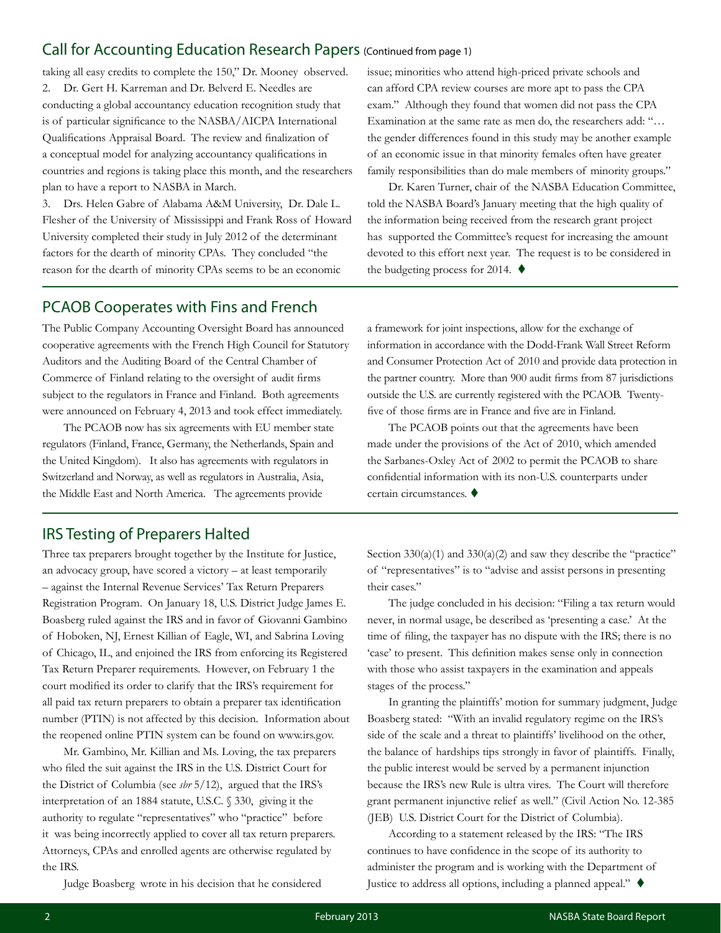#### Call for Accounting Education Research Papers (Continued from page 1)

taking all easy credits to complete the 150," Dr. Mooney observed. 2. Dr. Gert H. Karreman and Dr. Belverd E. Needles are conducting a global accountancy education recognition study that is of particular significance to the NASBA/AICPA International Qualifications Appraisal Board. The review and finalization of a conceptual model for analyzing accountancy qualifications in countries and regions is taking place this month, and the researchers plan to have a report to NASBA in March.

3. Drs. Helen Gabre of Alabama A&M University, Dr. Dale L. Flesher of the University of Mississippi and Frank Ross of Howard University completed their study in July 2012 of the determinant factors for the dearth of minority CPAs. They concluded "the reason for the dearth of minority CPAs seems to be an economic

issue; minorities who attend high-priced private schools and can afford CPA review courses are more apt to pass the CPA exam." Although they found that women did not pass the CPA Examination at the same rate as men do, the researchers add: "… the gender differences found in this study may be another example of an economic issue in that minority females often have greater family responsibilities than do male members of minority groups."

Dr. Karen Turner, chair of the NASBA Education Committee, told the NASBA Board's January meeting that the high quality of the information being received from the research grant project has supported the Committee's request for increasing the amount devoted to this effort next year. The request is to be considered in the budgeting process for 2014.  $\blacklozenge$ 

### PCAOB Cooperates with Fins and French

The Public Company Accounting Oversight Board has announced cooperative agreements with the French High Council for Statutory Auditors and the Auditing Board of the Central Chamber of Commerce of Finland relating to the oversight of audit firms subject to the regulators in France and Finland. Both agreements were announced on February 4, 2013 and took effect immediately.

The PCAOB now has six agreements with EU member state regulators (Finland, France, Germany, the Netherlands, Spain and the United Kingdom). It also has agreements with regulators in Switzerland and Norway, as well as regulators in Australia, Asia, the Middle East and North America. The agreements provide

#### IRS Testing of Preparers Halted

Three tax preparers brought together by the Institute for Justice, an advocacy group, have scored a victory – at least temporarily – against the Internal Revenue Services' Tax Return Preparers Registration Program. On January 18, U.S. District Judge James E. Boasberg ruled against the IRS and in favor of Giovanni Gambino of Hoboken, NJ, Ernest Killian of Eagle, WI, and Sabrina Loving of Chicago, IL, and enjoined the IRS from enforcing its Registered Tax Return Preparer requirements. However, on February 1 the court modified its order to clarify that the IRS's requirement for all paid tax return preparers to obtain a preparer tax identification number (PTIN) is not affected by this decision. Information about the reopened online PTIN system can be found on www.irs.gov.

Mr. Gambino, Mr. Killian and Ms. Loving, the tax preparers who filed the suit against the IRS in the U.S. District Court for the District of Columbia (see *sbr* 5/12), argued that the IRS's interpretation of an 1884 statute, U.S.C. § 330, giving it the authority to regulate "representatives" who "practice" before it was being incorrectly applied to cover all tax return preparers. Attorneys, CPAs and enrolled agents are otherwise regulated by the IRS.

Judge Boasberg wrote in his decision that he considered

a framework for joint inspections, allow for the exchange of information in accordance with the Dodd-Frank Wall Street Reform and Consumer Protection Act of 2010 and provide data protection in the partner country. More than 900 audit firms from 87 jurisdictions outside the U.S. are currently registered with the PCAOB. Twentyfive of those firms are in France and five are in Finland.

The PCAOB points out that the agreements have been made under the provisions of the Act of 2010, which amended the Sarbanes-Oxley Act of 2002 to permit the PCAOB to share confidential information with its non-U.S. counterparts under certain circumstances.  $\blacklozenge$ 

Section  $330(a)(1)$  and  $330(a)(2)$  and saw they describe the "practice" of "representatives" is to "advise and assist persons in presenting their cases."

The judge concluded in his decision: "Filing a tax return would never, in normal usage, be described as 'presenting a case.' At the time of filing, the taxpayer has no dispute with the IRS; there is no 'case' to present. This definition makes sense only in connection with those who assist taxpayers in the examination and appeals stages of the process."

In granting the plaintiffs' motion for summary judgment, Judge Boasberg stated: "With an invalid regulatory regime on the IRS's side of the scale and a threat to plaintiffs' livelihood on the other, the balance of hardships tips strongly in favor of plaintiffs. Finally, the public interest would be served by a permanent injunction because the IRS's new Rule is ultra vires. The Court will therefore grant permanent injunctive relief as well." (Civil Action No. 12-385 (JEB) U.S. District Court for the District of Columbia).

According to a statement released by the IRS: "The IRS continues to have confidence in the scope of its authority to administer the program and is working with the Department of Justice to address all options, including a planned appeal."  $\blacklozenge$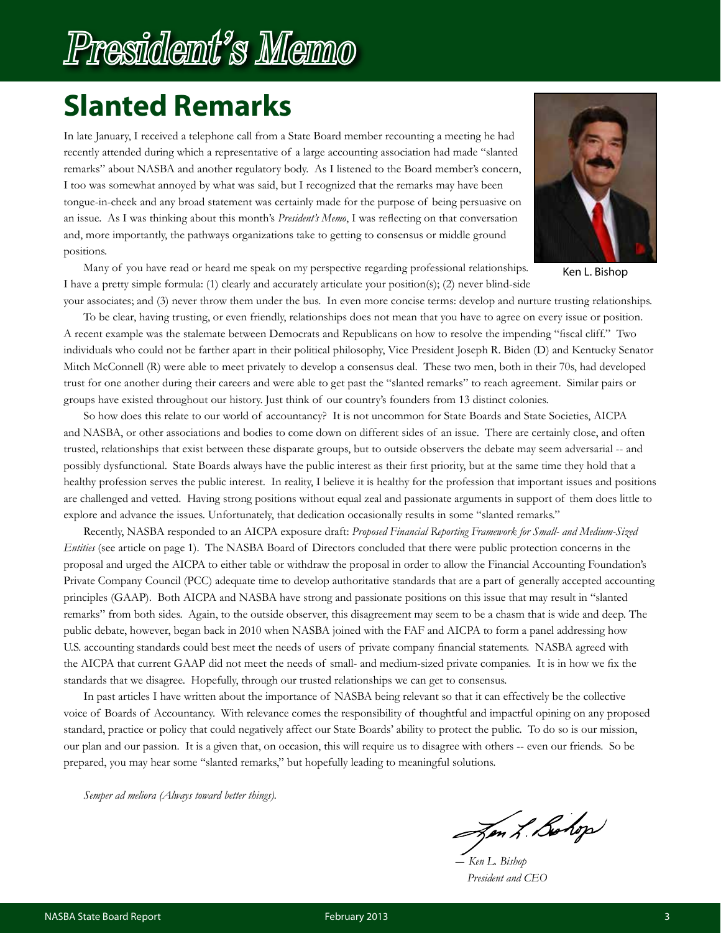## President's Memo

## **Slanted Remarks**

In late January, I received a telephone call from a State Board member recounting a meeting he had recently attended during which a representative of a large accounting association had made "slanted remarks" about NASBA and another regulatory body. As I listened to the Board member's concern, I too was somewhat annoyed by what was said, but I recognized that the remarks may have been tongue-in-cheek and any broad statement was certainly made for the purpose of being persuasive on an issue. As I was thinking about this month's *President's Memo*, I was reflecting on that conversation and, more importantly, the pathways organizations take to getting to consensus or middle ground positions.



Many of you have read or heard me speak on my perspective regarding professional relationships. I have a pretty simple formula: (1) clearly and accurately articulate your position(s); (2) never blind-side

Ken L. Bishop

your associates; and (3) never throw them under the bus. In even more concise terms: develop and nurture trusting relationships. To be clear, having trusting, or even friendly, relationships does not mean that you have to agree on every issue or position. A recent example was the stalemate between Democrats and Republicans on how to resolve the impending "fiscal cliff." Two individuals who could not be farther apart in their political philosophy, Vice President Joseph R. Biden (D) and Kentucky Senator Mitch McConnell (R) were able to meet privately to develop a consensus deal. These two men, both in their 70s, had developed trust for one another during their careers and were able to get past the "slanted remarks" to reach agreement. Similar pairs or groups have existed throughout our history. Just think of our country's founders from 13 distinct colonies.

So how does this relate to our world of accountancy? It is not uncommon for State Boards and State Societies, AICPA and NASBA, or other associations and bodies to come down on different sides of an issue. There are certainly close, and often trusted, relationships that exist between these disparate groups, but to outside observers the debate may seem adversarial -- and possibly dysfunctional. State Boards always have the public interest as their first priority, but at the same time they hold that a healthy profession serves the public interest. In reality, I believe it is healthy for the profession that important issues and positions are challenged and vetted. Having strong positions without equal zeal and passionate arguments in support of them does little to explore and advance the issues. Unfortunately, that dedication occasionally results in some "slanted remarks."

Recently, NASBA responded to an AICPA exposure draft: *Proposed Financial Reporting Framework for Small- and Medium-Sized Entities* (see article on page 1). The NASBA Board of Directors concluded that there were public protection concerns in the proposal and urged the AICPA to either table or withdraw the proposal in order to allow the Financial Accounting Foundation's Private Company Council (PCC) adequate time to develop authoritative standards that are a part of generally accepted accounting principles (GAAP). Both AICPA and NASBA have strong and passionate positions on this issue that may result in "slanted remarks" from both sides. Again, to the outside observer, this disagreement may seem to be a chasm that is wide and deep. The public debate, however, began back in 2010 when NASBA joined with the FAF and AICPA to form a panel addressing how U.S. accounting standards could best meet the needs of users of private company financial statements. NASBA agreed with the AICPA that current GAAP did not meet the needs of small- and medium-sized private companies. It is in how we fix the standards that we disagree. Hopefully, through our trusted relationships we can get to consensus.

In past articles I have written about the importance of NASBA being relevant so that it can effectively be the collective voice of Boards of Accountancy. With relevance comes the responsibility of thoughtful and impactful opining on any proposed standard, practice or policy that could negatively affect our State Boards' ability to protect the public. To do so is our mission, our plan and our passion. It is a given that, on occasion, this will require us to disagree with others -- even our friends. So be prepared, you may hear some "slanted remarks," but hopefully leading to meaningful solutions.

*Semper ad meliora (Always toward better things).*

Jen L. Bohop

 *― Ken L. Bishop President and CEO*